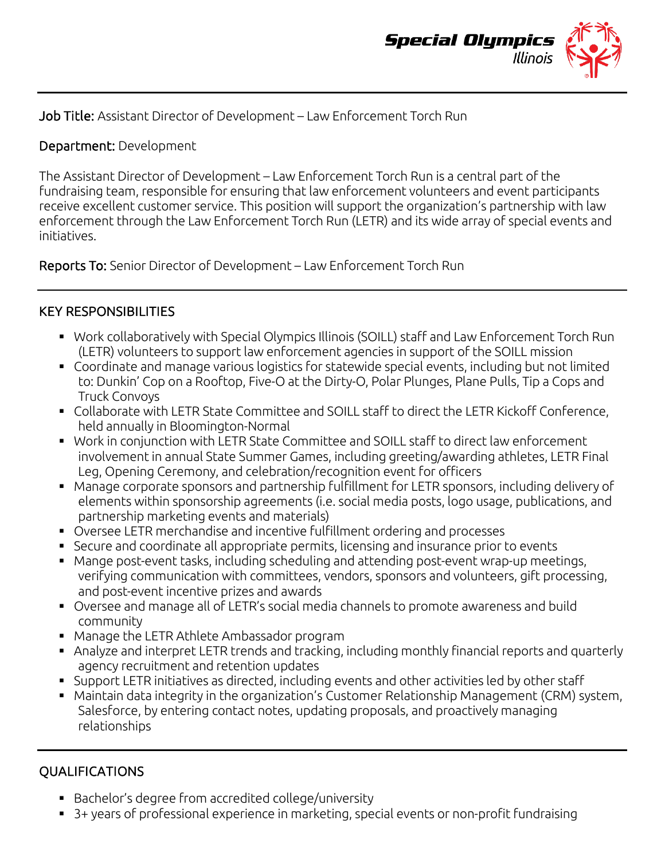

Job Title: Assistant Director of Development – Law Enforcement Torch Run

### Department: Development

The Assistant Director of Development – Law Enforcement Torch Run is a central part of the fundraising team, responsible for ensuring that law enforcement volunteers and event participants receive excellent customer service. This position will support the organization's partnership with law enforcement through the Law Enforcement Torch Run (LETR) and its wide array of special events and initiatives.

Reports To: Senior Director of Development – Law Enforcement Torch Run

## KEY RESPONSIBILITIES

- Work collaboratively with Special Olympics Illinois (SOILL) staff and Law Enforcement Torch Run (LETR) volunteers to support law enforcement agencies in support of the SOILL mission
- Coordinate and manage various logistics for statewide special events, including but not limited to: Dunkin' Cop on a Rooftop, Five-O at the Dirty-O, Polar Plunges, Plane Pulls, Tip a Cops and Truck Convoys
- Collaborate with LETR State Committee and SOILL staff to direct the LETR Kickoff Conference, held annually in Bloomington-Normal
- Work in conjunction with LETR State Committee and SOILL staff to direct law enforcement involvement in annual State Summer Games, including greeting/awarding athletes, LETR Final Leg, Opening Ceremony, and celebration/recognition event for officers
- Manage corporate sponsors and partnership fulfillment for LETR sponsors, including delivery of elements within sponsorship agreements (i.e. social media posts, logo usage, publications, and partnership marketing events and materials)
- Oversee LETR merchandise and incentive fulfillment ordering and processes
- Secure and coordinate all appropriate permits, licensing and insurance prior to events
- Mange post-event tasks, including scheduling and attending post-event wrap-up meetings, verifying communication with committees, vendors, sponsors and volunteers, gift processing, and post-event incentive prizes and awards
- Oversee and manage all of LETR's social media channels to promote awareness and build community
- Manage the LETR Athlete Ambassador program
- Analyze and interpret LETR trends and tracking, including monthly financial reports and quarterly agency recruitment and retention updates
- Support LETR initiatives as directed, including events and other activities led by other staff
- Maintain data integrity in the organization's Customer Relationship Management (CRM) system, Salesforce, by entering contact notes, updating proposals, and proactively managing relationships

# QUALIFICATIONS

- Bachelor's degree from accredited college/university
- 3+ years of professional experience in marketing, special events or non-profit fundraising